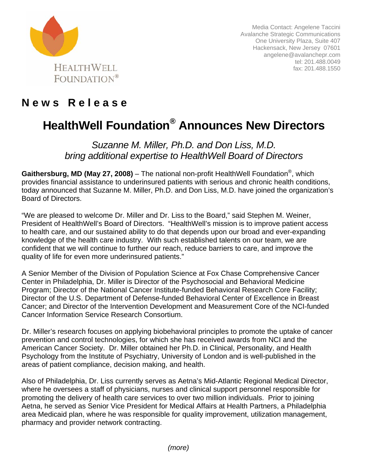

Media Contact: Angelene Taccini Avalanche Strategic Communications One University Plaza, Suite 407 Hackensack, New Jersey 07601 angelene@avalanchepr.com tel: 201.488.0049 fax: 201.488.1550

## **N e w s R e l e a s e**

## **HealthWell Foundation® Announces New Directors**

*Suzanne M. Miller, Ph.D. and Don Liss, M.D. bring additional expertise to HealthWell Board of Directors* 

**Gaithersburg, MD (May 27, 2008)** – The national non-profit HealthWell Foundation®, which provides financial assistance to underinsured patients with serious and chronic health conditions, today announced that Suzanne M. Miller, Ph.D. and Don Liss, M.D. have joined the organization's Board of Directors.

"We are pleased to welcome Dr. Miller and Dr. Liss to the Board," said Stephen M. Weiner, President of HealthWell's Board of Directors. "HealthWell's mission is to improve patient access to health care, and our sustained ability to do that depends upon our broad and ever-expanding knowledge of the health care industry. With such established talents on our team, we are confident that we will continue to further our reach, reduce barriers to care, and improve the quality of life for even more underinsured patients."

A Senior Member of the Division of Population Science at Fox Chase Comprehensive Cancer Center in Philadelphia, Dr. Miller is Director of the Psychosocial and Behavioral Medicine Program; Director of the National Cancer Institute-funded Behavioral Research Core Facility; Director of the U.S. Department of Defense-funded Behavioral Center of Excellence in Breast Cancer; and Director of the Intervention Development and Measurement Core of the NCI-funded Cancer Information Service Research Consortium.

Dr. Miller's research focuses on applying biobehavioral principles to promote the uptake of cancer prevention and control technologies, for which she has received awards from NCI and the American Cancer Society. Dr. Miller obtained her Ph.D. in Clinical, Personality, and Health Psychology from the Institute of Psychiatry, University of London and is well-published in the areas of patient compliance, decision making, and health.

Also of Philadelphia, Dr. Liss currently serves as Aetna's Mid-Atlantic Regional Medical Director, where he oversees a staff of physicians, nurses and clinical support personnel responsible for promoting the delivery of health care services to over two million individuals. Prior to joining Aetna, he served as Senior Vice President for Medical Affairs at Health Partners, a Philadelphia area Medicaid plan, where he was responsible for quality improvement, utilization management, pharmacy and provider network contracting.